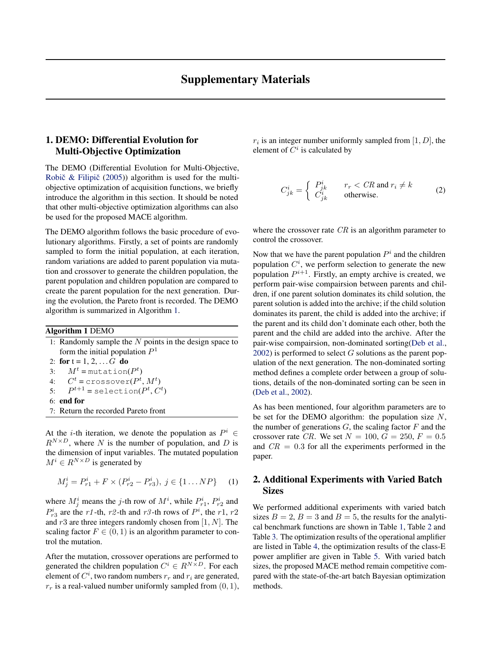## 1. DEMO: Differential Evolution for Multi-Objective Optimization

The DEMO (Differential Evolution for Multi-Objective, Robič  $\&$  Filipič [\(2005\)](#page-2-0)) algorithm is used for the multiobjective optimization of acquisition functions, we briefly introduce the algorithm in this section. It should be noted that other multi-objective optimization algorithms can also be used for the proposed MACE algorithm.

The DEMO algorithm follows the basic procedure of evolutionary algorithms. Firstly, a set of points are randomly sampled to form the initial population, at each iteration, random variations are added to parent population via mutation and crossover to generate the children population, the parent population and children population are compared to create the parent population for the next generation. During the evolution, the Pareto front is recorded. The DEMO algorithm is summarized in Algorithm 1.

## Algorithm 1 DEMO

| 1: Randomly sample the $N$ points in the design space to                                                                                                                            |
|-------------------------------------------------------------------------------------------------------------------------------------------------------------------------------------|
| form the initial population $P1$                                                                                                                                                    |
| 2: for $t = 1, 2,  G$ do                                                                                                                                                            |
| 3: $M^t = \text{mutation}(P^t)$                                                                                                                                                     |
| 4: $C^t$ = crossover( $P^t$ , $M^t$ )                                                                                                                                               |
| 5: $P^{t+1}$ = selection( $P^t$ , $C^t$ )                                                                                                                                           |
| $6:$ end for                                                                                                                                                                        |
| 7: Return the recorded Pareto front                                                                                                                                                 |
|                                                                                                                                                                                     |
| $\mathbf{L}^q$<br>the contract of the contract of the contract of the contract of the contract of the contract of the contract of<br>$\mathbf{r}$ and $\mathbf{r}$ and $\mathbf{r}$ |

At the *i*-th iteration, we denote the population as  $P^i \in$  $R^{N \times D}$ , where N is the number of population, and D is the dimension of input variables. The mutated population  $M^i \in R^{N \times D}$  is generated by

$$
M_j^i = P_{r1}^i + F \times (P_{r2}^i - P_{r3}^i), \ j \in \{1 \dots NP\} \tag{1}
$$

where  $M_j^i$  means the j-th row of  $M^i$ , while  $P_{r1}^i$ ,  $P_{r2}^i$  and  $P_{r3}^i$  are the r1-th, r2-th and r3-th rows of  $P^i$ , the r1, r2 and  $r3$  are three integers randomly chosen from [1, N]. The scaling factor  $F \in (0, 1)$  is an algorithm parameter to control the mutation.

After the mutation, crossover operations are performed to generated the children population  $C^i \in R^{N \times D}$ . For each element of  $C^i$ , two random numbers  $r_r$  and  $r_i$  are generated,  $r_r$  is a real-valued number uniformly sampled from  $(0, 1)$ ,  $r_i$  is an integer number uniformly sampled from  $[1, D]$ , the element of  $C^i$  is calculated by

$$
C_{jk}^{i} = \begin{cases} P_{jk}^{i} & r_r < CR \text{ and } r_i \neq k \\ C_{jk}^{i} & \text{otherwise.} \end{cases}
$$
 (2)

where the crossover rate  $CR$  is an algorithm parameter to control the crossover.

Now that we have the parent population  $P^i$  and the children population  $C^i$ , we perform selection to generate the new population  $P^{i+1}$ . Firstly, an empty archive is created, we perform pair-wise compairsion between parents and children, if one parent solution dominates its child solution, the parent solution is added into the archive; if the child solution dominates its parent, the child is added into the archive; if the parent and its child don't dominate each other, both the parent and the child are added into the archive. After the pair-wise compairsion, non-dominated sorting[\(Deb et al.,](#page-2-0)  $2002$ ) is performed to select G solutions as the parent population of the next generation. The non-dominated sorting method defines a complete order between a group of solutions, details of the non-dominated sorting can be seen in [\(Deb et al.,](#page-2-0) [2002\)](#page-2-0).

As has been mentioned, four algorithm parameters are to be set for the DEMO algorithm: the population size  $N$ , the number of generations  $G$ , the scaling factor  $F$  and the crossover rate CR. We set  $N = 100$ ,  $G = 250$ ,  $F = 0.5$ and  $CR = 0.3$  for all the experiments performed in the paper.

## 2. Additional Experiments with Varied Batch **Sizes**

We performed additional experiments with varied batch sizes  $B = 2$ ,  $B = 3$  and  $B = 5$ , the results for the analytical benchmark functions are shown in Table [1,](#page-1-0) Table [2](#page-1-0) and Table [3.](#page-1-0) The optimization results of the operational amplifier are listed in Table [4,](#page-1-0) the optimization results of the class-E power amplifier are given in Table [5.](#page-1-0) With varied batch sizes, the proposed MACE method remain competitive compared with the state-of-the-art batch Bayesian optimization methods.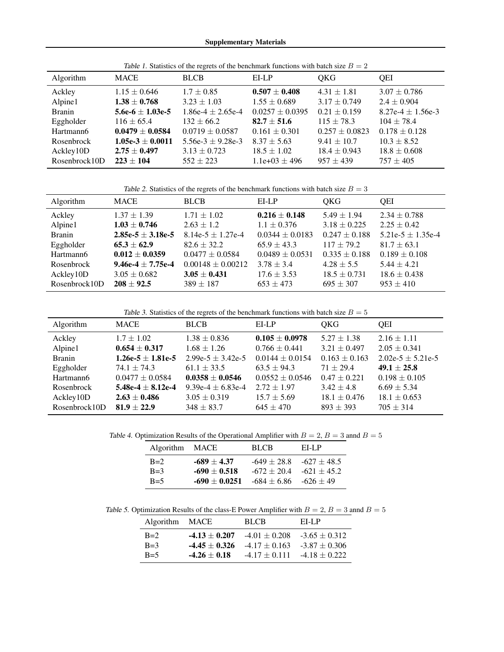<span id="page-1-0"></span>

| Table 1. Statistics of the regrets of the beneminary functions with batch size $D = 2$ |                                      |                                   |                                       |                                     |                                     |
|----------------------------------------------------------------------------------------|--------------------------------------|-----------------------------------|---------------------------------------|-------------------------------------|-------------------------------------|
| Algorithm                                                                              | <b>MACE</b>                          | <b>BLCB</b>                       | EI-LP                                 | <b>OKG</b>                          | <b>OEI</b>                          |
| Ackley<br>Alpine1                                                                      | $1.15 \pm 0.646$<br>$1.38 \pm 0.768$ | $1.7 \pm 0.85$<br>$3.23 \pm 1.03$ | $0.507 \pm 0.408$<br>$1.55 \pm 0.689$ | $4.31 \pm 1.81$<br>$3.17 \pm 0.749$ | $3.07 \pm 0.786$<br>$2.4 \pm 0.904$ |
| <b>Branin</b>                                                                          | 5.6e-6 $\pm$ 1.03e-5                 | $1.86e-4 \pm 2.65e-4$             | $0.0257 \pm 0.0395$                   | $0.21 \pm 0.159$                    | 8.27e-4 $\pm$ 1.56e-3               |
| Eggholder                                                                              | $116 \pm 65.4$                       | $132 \pm 66.2$                    | $82.7 \pm 51.6$                       | $115 + 78.3$                        | $104 + 78.4$                        |
| Hartmann6                                                                              | $0.0479 \pm 0.0584$                  | $0.0719 \pm 0.0587$               | $0.161 \pm 0.301$                     | $0.257 \pm 0.0823$                  | $0.178 \pm 0.128$                   |
| Rosenbrock                                                                             | $1.05e-3 \pm 0.0011$                 | 5.56e-3 $\pm$ 9.28e-3             | $8.37 \pm 5.63$                       | $9.41 \pm 10.7$                     | $10.3 \pm 8.52$                     |
| Ackley10D                                                                              | $2.75 \pm 0.497$                     | $3.13 \pm 0.723$                  | $18.5 \pm 1.02$                       | $18.4 \pm 0.943$                    | $18.8 \pm 0.608$                    |
| Rosenbrock10D                                                                          | $223 \pm 104$                        | $552 + 223$                       | $1.1e+03 \pm 496$                     | $957 + 439$                         | $757 \pm 405$                       |

Table 1. Statistics of the regrets of the benchmark functions with batch size  $B = 2$ 

Table 2. Statistics of the regrets of the benchmark functions with batch size  $B = 3$ 

| Algorithm     | <b>MACE</b>           | <b>BLCB</b>           | EI-LP               | OKG               | <b>OEI</b>            |
|---------------|-----------------------|-----------------------|---------------------|-------------------|-----------------------|
| Ackley        | $1.37 \pm 1.39$       | $1.71 \pm 1.02$       | $0.216 \pm 0.148$   | $5.49 \pm 1.94$   | $2.34 \pm 0.788$      |
| Alpine1       | $1.03 \pm 0.746$      | $2.63 \pm 1.2$        | $1.1 \pm 0.376$     | $3.18 \pm 0.225$  | $2.25 \pm 0.42$       |
| <b>Branin</b> | $2.85e-5 \pm 3.18e-5$ | $8.14e-5 \pm 1.27e-4$ | $0.0344 \pm 0.0183$ | $0.247 \pm 0.188$ | 5.21e-5 $\pm$ 1.35e-4 |
| Eggholder     | $65.3 \pm 62.9$       | $82.6 \pm 32.2$       | $65.9 \pm 43.3$     | $117 + 79.2$      | $81.7 \pm 63.1$       |
| Hartmann6     | $0.012 \pm 0.0359$    | $0.0477 \pm 0.0584$   | $0.0489 \pm 0.0531$ | $0.335 \pm 0.188$ | $0.189 \pm 0.108$     |
| Rosenbrock    | $9.46e-4 + 7.75e-4$   | $0.00148 \pm 0.00212$ | $3.78 \pm 3.4$      | $4.28 \pm 5.5$    | $5.44 \pm 4.21$       |
| Ackley10D     | $3.05 \pm 0.682$      | $3.05 \pm 0.431$      | $17.6 \pm 3.53$     | $18.5 \pm 0.731$  | $18.6 \pm 0.438$      |
| Rosenbrock10D | $208 + 92.5$          | $389 \pm 187$         | $653 \pm 473$       | $695 \pm 307$     | $953 \pm 410$         |

Table 3. Statistics of the regrets of the benchmark functions with batch size  $B = 5$ 

| Algorithm     | <b>MACE</b>           | <b>BLCB</b>           | EI-LP               | OKG               | <b>OEI</b>            |
|---------------|-----------------------|-----------------------|---------------------|-------------------|-----------------------|
| Ackley        | $1.7 \pm 1.02$        | $1.38 \pm 0.836$      | $0.105 \pm 0.0978$  | $5.27 \pm 1.38$   | $2.16 \pm 1.11$       |
| Alpine1       | $0.654 \pm 0.317$     | $1.68 \pm 1.26$       | $0.766 \pm 0.441$   | $3.21 \pm 0.497$  | $2.05 \pm 0.341$      |
| <b>Branin</b> | $1.26e-5 \pm 1.81e-5$ | $2.99e-5 + 3.42e-5$   | $0.0144 \pm 0.0154$ | $0.163 \pm 0.163$ | $2.02e-5 \pm 5.21e-5$ |
| Eggholder     | $74.1 \pm 74.3$       | $61.1 \pm 33.5$       | $63.5 \pm 94.3$     | $71 + 29.4$       | $49.1 \pm 25.8$       |
| Hartmann6     | $0.0477 \pm 0.0584$   | $0.0358 + 0.0546$     | $0.0552 \pm 0.0546$ | $0.47 \pm 0.221$  | $0.198 \pm 0.105$     |
| Rosenbrock    | 5.48e-4 $\pm$ 8.12e-4 | 9.39e-4 $\pm$ 6.83e-4 | $2.72 \pm 1.97$     | $3.42 \pm 4.8$    | $6.69 \pm 5.34$       |
| Ackley10D     | $2.63 \pm 0.486$      | $3.05 \pm 0.319$      | $15.7 \pm 5.69$     | $18.1 \pm 0.476$  | $18.1 \pm 0.653$      |
| Rosenbrock10D | $81.9 \pm 22.9$       | $348 \pm 83.7$        | $645 + 470$         | $893 + 393$       | $705 \pm 314$         |

Table 4. Optimization Results of the Operational Amplifier with  $B = 2$ ,  $B = 3$  annd  $B = 5$ 

| Algorithm MACE |                                  | <b>BLCB</b>                | ELLP        |
|----------------|----------------------------------|----------------------------|-------------|
| $B=2$          | $-689 \pm 4.37$                  | $-649 + 28.8 - 627 + 48.5$ |             |
| $B=3$          | $-690 + 0.518$                   | $-672 + 20.4 -621 + 45.2$  |             |
| $B=5$          | $-690 \pm 0.0251 - 684 \pm 6.86$ |                            | $-626 + 49$ |

Table 5. Optimization Results of the class-E Power Amplifier with  $B = 2$ ,  $B = 3$  annd  $B = 5$ 

| <b>Algorithm</b> | MACE             | <b>BLCB</b>       | ELLP              |
|------------------|------------------|-------------------|-------------------|
| $B=2$            | $-4.13 + 0.207$  | $-4.01 \pm 0.208$ | $-3.65 \pm 0.312$ |
| $B=3$            | $-4.45 + 0.326$  | $-4.17 + 0.163$   | $-3.87 + 0.306$   |
| $B=5$            | $-4.26 \pm 0.18$ | $-4.17 + 0.111$   | $-4.18 + 0.222$   |